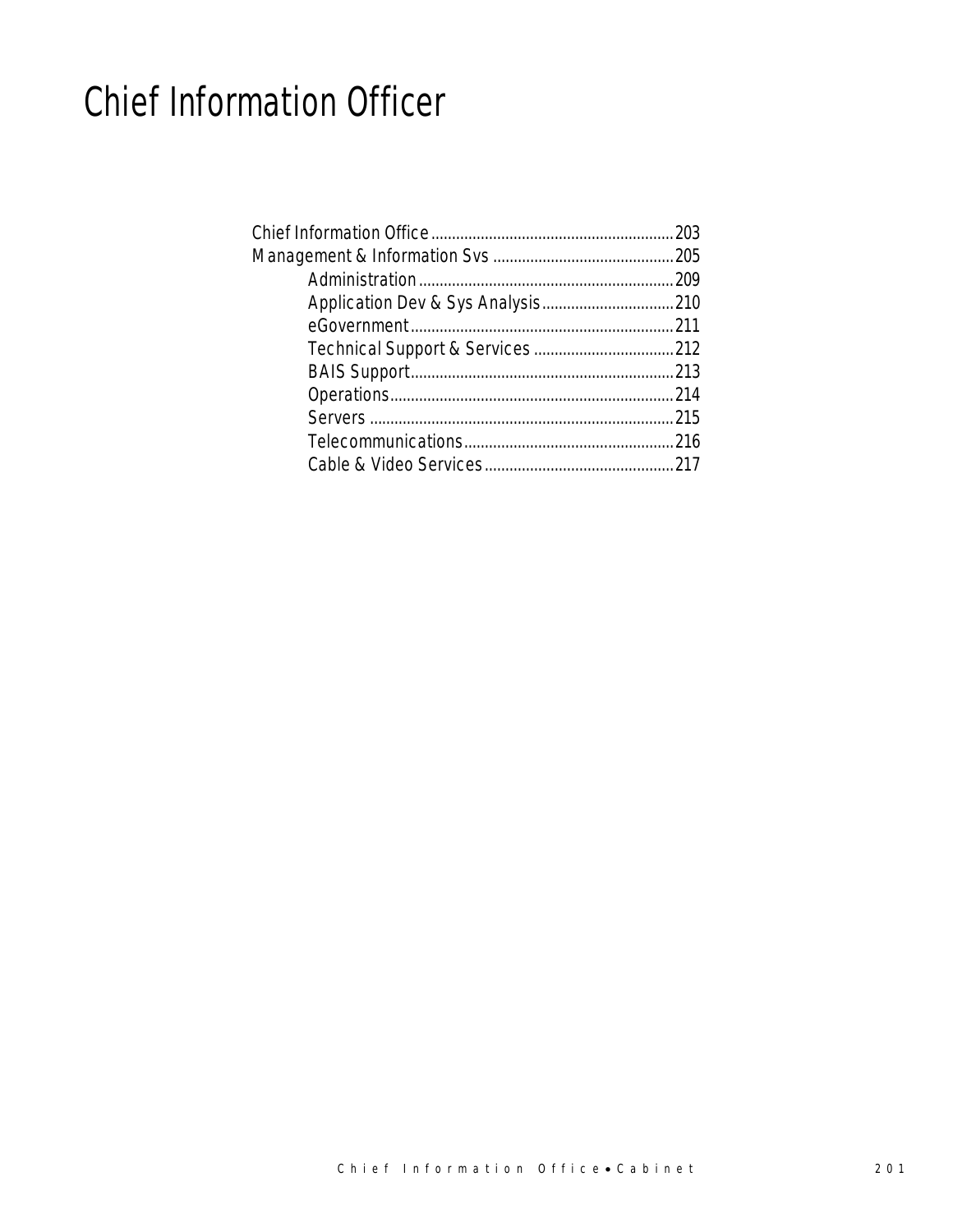# Chief Information Officer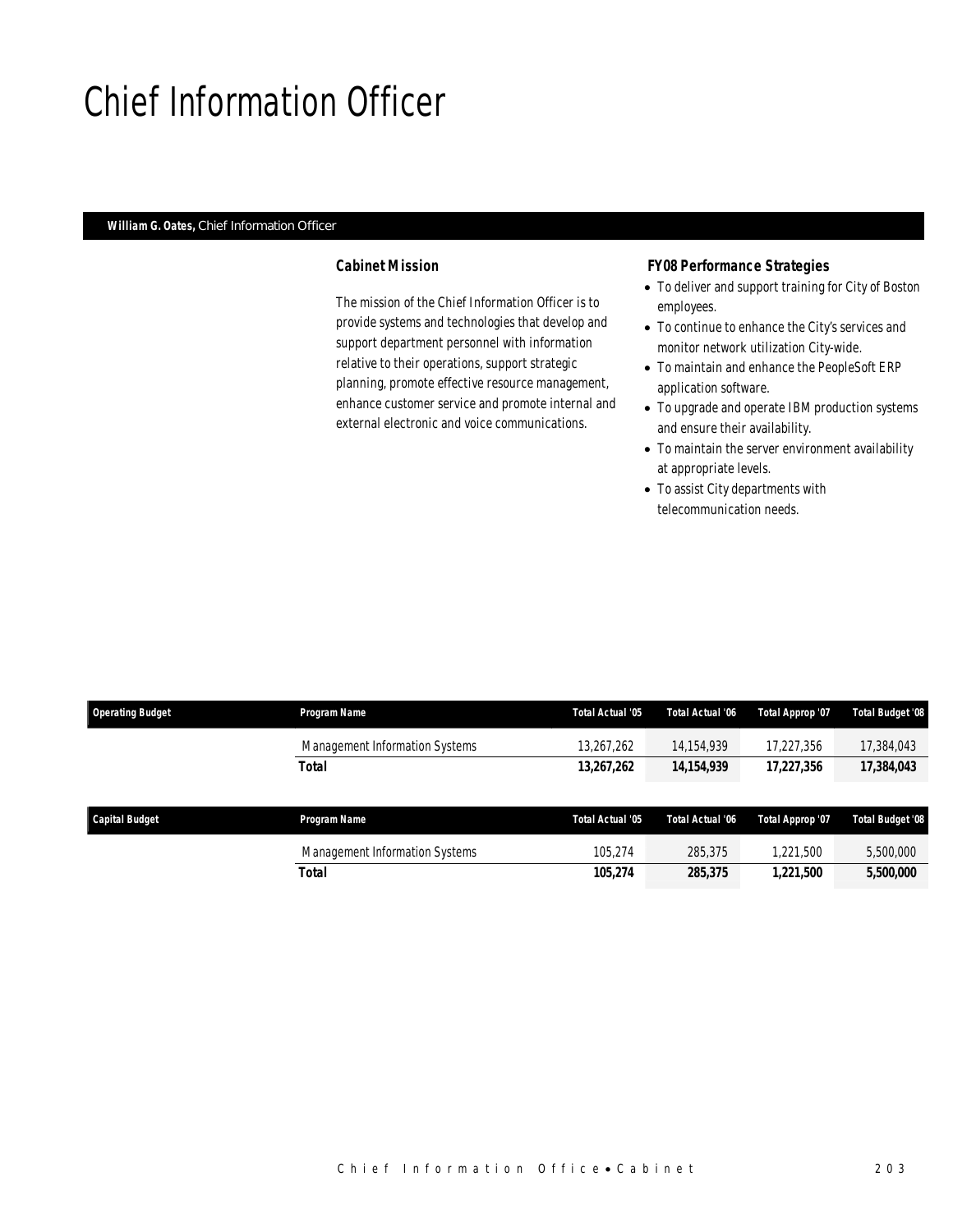# Chief Information Officer

#### *William G. Oates, Chief Information Officer*

#### *Cabinet Mission*

The mission of the Chief Information Officer is to provide systems and technologies that develop and support department personnel with information relative to their operations, support strategic planning, promote effective resource management, enhance customer service and promote internal and external electronic and voice communications.

#### *FY08 Performance Strategies*

- To deliver and support training for City of Boston employees.
- To continue to enhance the City's services and monitor network utilization City-wide.
- To maintain and enhance the PeopleSoft ERP application software.
- To upgrade and operate IBM production systems and ensure their availability.
- To maintain the server environment availability at appropriate levels.
- To assist City departments with telecommunication needs.

| <b>Operating Budget</b> | Program Name                   | Total Actual '05 | Total Actual '06 | <b>Total Approp '07</b> | Total Budget '08 |
|-------------------------|--------------------------------|------------------|------------------|-------------------------|------------------|
|                         | Management Information Systems | 13,267,262       | 14,154,939       | 17,227,356              | 17,384,043       |
|                         | Total                          | 13,267,262       | 14, 154, 939     | 17,227,356              | 17,384,043       |
|                         |                                |                  |                  |                         |                  |
| <b>Capital Budget</b>   | Program Name                   | Total Actual '05 | Total Actual '06 | Total Approp '07        | Total Budget '08 |
|                         | Management Information Systems | 105.274          | 285,375          | 1,221,500               | 5,500,000        |
|                         | Total                          | 105,274          | 285,375          | 1,221,500               | 5,500,000        |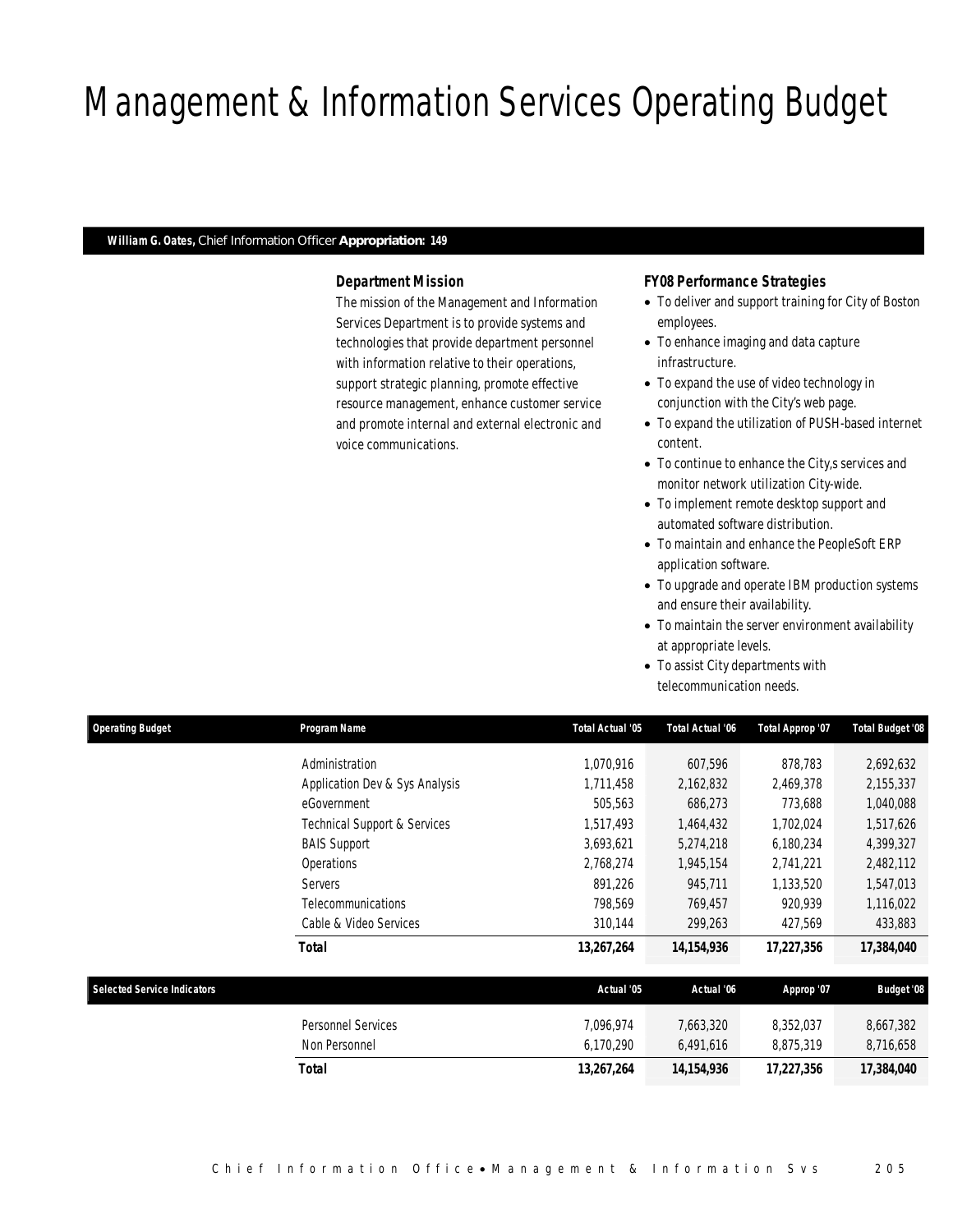# Management & Information Services Operating Budget

### *William G. Oates, Chief Information Officer Appropriation: 149*

#### *Department Mission*

The mission of the Management and Information Services Department is to provide systems and technologies that provide department personnel with information relative to their operations, support strategic planning, promote effective resource management, enhance customer service and promote internal and external electronic and voice communications.

#### *FY08 Performance Strategies*

- To deliver and support training for City of Boston employees.
- To enhance imaging and data capture infrastructure.
- To expand the use of video technology in conjunction with the City's web page.
- To expand the utilization of PUSH-based internet content.
- To continue to enhance the City,s services and monitor network utilization City-wide.
- To implement remote desktop support and automated software distribution.
- To maintain and enhance the PeopleSoft ERP application software.
- To upgrade and operate IBM production systems and ensure their availability.
- To maintain the server environment availability at appropriate levels.
- To assist City departments with telecommunication needs.

| <b>Operating Budget</b>            | Program Name                            | Total Actual '05 | Total Actual '06 | Total Approp '07 | Total Budget '08  |
|------------------------------------|-----------------------------------------|------------------|------------------|------------------|-------------------|
|                                    | Administration                          | 1,070,916        | 607,596          | 878,783          | 2,692,632         |
|                                    | Application Dev & Sys Analysis          | 1,711,458        | 2,162,832        | 2,469,378        | 2,155,337         |
|                                    | eGovernment                             | 505,563          | 686,273          | 773,688          | 1,040,088         |
|                                    | <b>Technical Support &amp; Services</b> | 1,517,493        | 1,464,432        | 1,702,024        | 1,517,626         |
|                                    | <b>BAIS Support</b>                     | 3,693,621        | 5,274,218        | 6,180,234        | 4,399,327         |
|                                    | Operations                              | 2,768,274        | 1,945,154        | 2,741,221        | 2,482,112         |
|                                    | Servers                                 | 891,226          | 945,711          | 1,133,520        | 1,547,013         |
|                                    | <b>Telecommunications</b>               | 798,569          | 769,457          | 920,939          | 1,116,022         |
|                                    | Cable & Video Services                  | 310,144          | 299,263          | 427,569          | 433,883           |
|                                    | <b>Total</b>                            | 13,267,264       | 14, 154, 936     | 17,227,356       | 17,384,040        |
| <b>Selected Service Indicators</b> |                                         | Actual '05       | Actual '06       | Approp '07       | <b>Budget '08</b> |
|                                    | Personnel Services                      | 7,096,974        | 7,663,320        | 8,352,037        | 8,667,382         |
|                                    | Non Personnel                           | 6,170,290        | 6,491,616        | 8,875,319        | 8,716,658         |
|                                    | <b>Total</b>                            | 13,267,264       | 14, 154, 936     | 17,227,356       | 17,384,040        |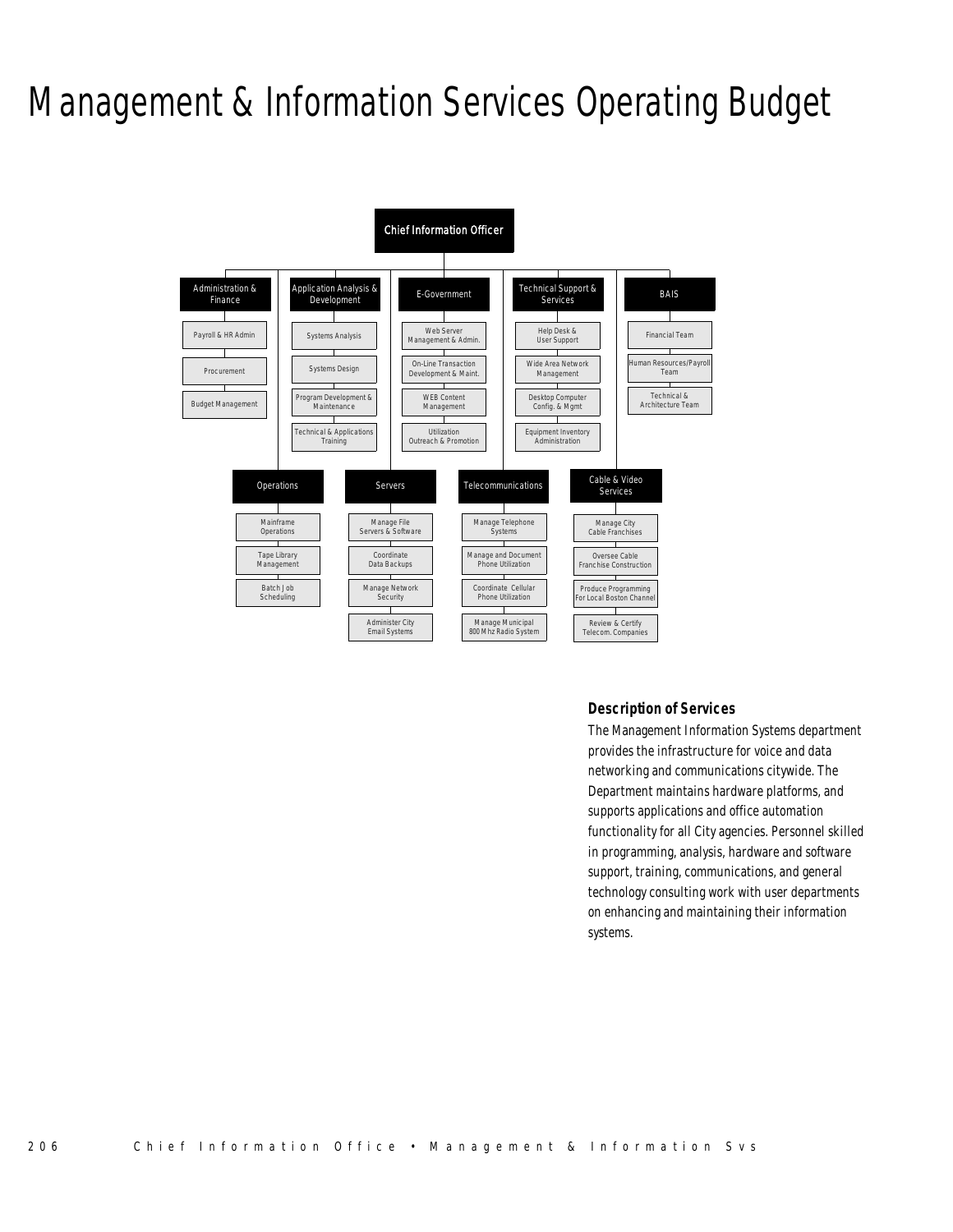# Management & Information Services Operating Budget



### *Description of Services*

The Management Information Systems department provides the infrastructure for voice and data networking and communications citywide. The Department maintains hardware platforms, and supports applications and office automation functionality for all City agencies. Personnel skilled in programming, analysis, hardware and software support, training, communications, and general technology consulting work with user departments on enhancing and maintaining their information systems.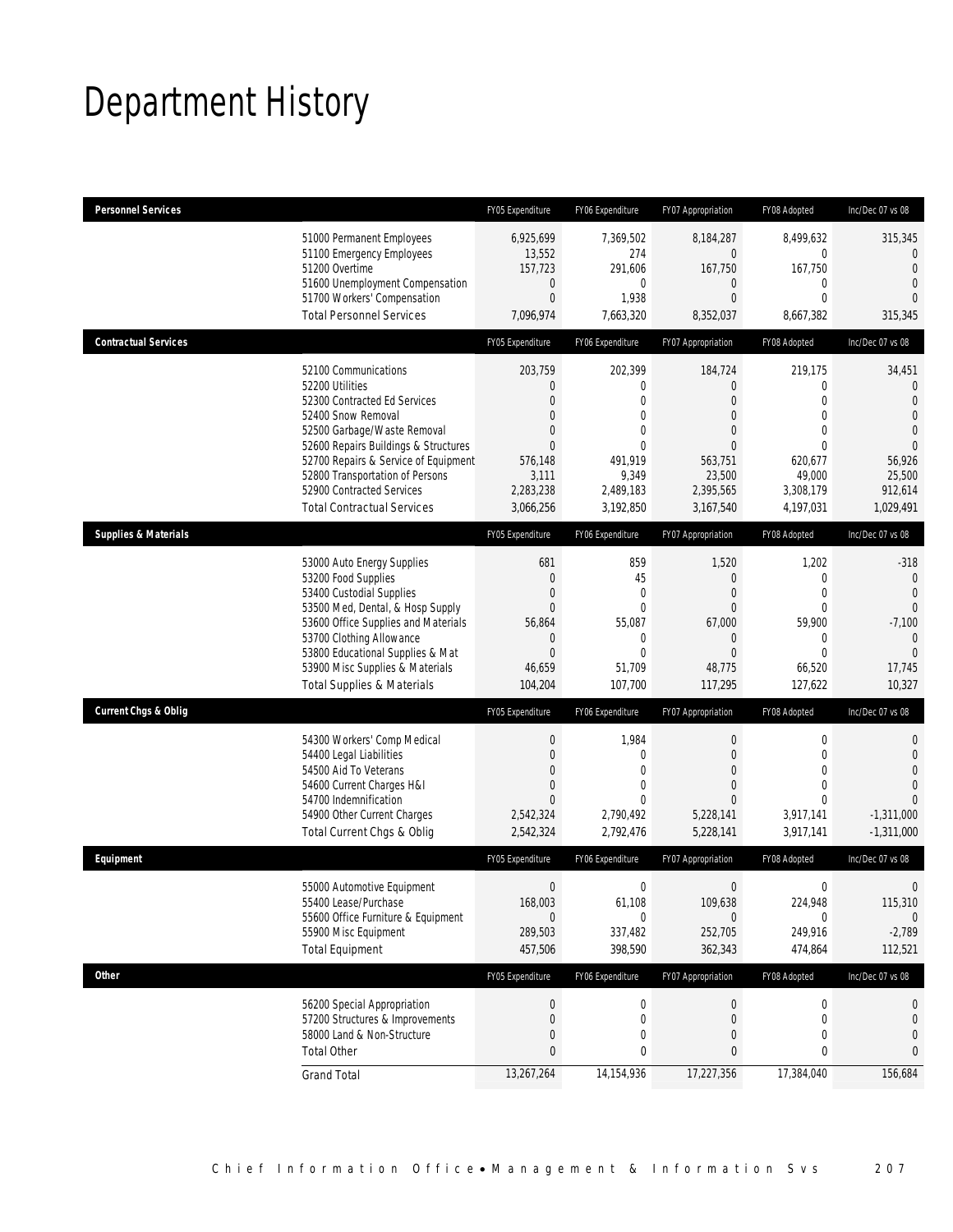# Department History

| <b>Personnel Services</b>       |                                                                                                                                                                                                                                                                                                                   | FY05 Expenditure                                                                                                  | FY06 Expenditure                                                                                               | FY07 Appropriation                                                                                                                  | FY08 Adopted                                                                                                                        | Inc/Dec 07 vs 08                                                                                                               |
|---------------------------------|-------------------------------------------------------------------------------------------------------------------------------------------------------------------------------------------------------------------------------------------------------------------------------------------------------------------|-------------------------------------------------------------------------------------------------------------------|----------------------------------------------------------------------------------------------------------------|-------------------------------------------------------------------------------------------------------------------------------------|-------------------------------------------------------------------------------------------------------------------------------------|--------------------------------------------------------------------------------------------------------------------------------|
|                                 | 51000 Permanent Employees<br>51100 Emergency Employees<br>51200 Overtime<br>51600 Unemployment Compensation<br>51700 Workers' Compensation<br><b>Total Personnel Services</b>                                                                                                                                     | 6.925.699<br>13,552<br>157,723<br>$\theta$<br>$\mathbf{0}$<br>7,096,974                                           | 7.369.502<br>274<br>291,606<br>0<br>1,938<br>7,663,320                                                         | 8,184,287<br>$\overline{0}$<br>167,750<br>0<br>$\overline{0}$<br>8,352,037                                                          | 8,499,632<br>0<br>167,750<br>0<br>$\Omega$<br>8,667,382                                                                             | 315,345<br>$\mathbf{0}$<br>$\overline{0}$<br>$\overline{0}$<br>$\Omega$<br>315,345                                             |
| <b>Contractual Services</b>     |                                                                                                                                                                                                                                                                                                                   | FY05 Expenditure                                                                                                  | FY06 Expenditure                                                                                               | FY07 Appropriation                                                                                                                  | FY08 Adopted                                                                                                                        | Inc/Dec 07 vs 08                                                                                                               |
|                                 | 52100 Communications<br>52200 Utilities<br>52300 Contracted Ed Services<br>52400 Snow Removal<br>52500 Garbage/Waste Removal<br>52600 Repairs Buildings & Structures<br>52700 Repairs & Service of Equipment<br>52800 Transportation of Persons<br>52900 Contracted Services<br><b>Total Contractual Services</b> | 203,759<br>$\Omega$<br>$\Omega$<br>$\Omega$<br>$\Omega$<br>$\theta$<br>576,148<br>3,111<br>2,283,238<br>3,066,256 | 202,399<br>0<br>$\Omega$<br>$\mathbf{0}$<br>$\theta$<br>$\theta$<br>491,919<br>9,349<br>2,489,183<br>3,192,850 | 184,724<br>$\overline{0}$<br>$\overline{0}$<br>$\overline{0}$<br>0<br>$\overline{0}$<br>563,751<br>23,500<br>2,395,565<br>3,167,540 | 219,175<br>0<br>$\overline{0}$<br>$\overline{0}$<br>$\overline{0}$<br>$\overline{0}$<br>620,677<br>49,000<br>3,308,179<br>4.197.031 | 34,451<br>$\mathbf{0}$<br>$\overline{0}$<br>$\Omega$<br>$\overline{0}$<br>$\Omega$<br>56,926<br>25,500<br>912,614<br>1,029,491 |
| <b>Supplies &amp; Materials</b> |                                                                                                                                                                                                                                                                                                                   | FY05 Expenditure                                                                                                  | FY06 Expenditure                                                                                               | FY07 Appropriation                                                                                                                  | FY08 Adopted                                                                                                                        | Inc/Dec 07 vs 08                                                                                                               |
|                                 | 53000 Auto Energy Supplies<br>53200 Food Supplies<br>53400 Custodial Supplies<br>53500 Med, Dental, & Hosp Supply<br>53600 Office Supplies and Materials<br>53700 Clothing Allowance<br>53800 Educational Supplies & Mat<br>53900 Misc Supplies & Materials<br><b>Total Supplies &amp; Materials</b>              | 681<br>$\Omega$<br>0<br>$\Omega$<br>56,864<br>$\theta$<br>$\Omega$<br>46,659<br>104,204                           | 859<br>45<br>$\overline{0}$<br>$\mathbf{0}$<br>55,087<br>$\mathbf{0}$<br>$\Omega$<br>51,709<br>107,700         | 1,520<br>$\mathbf{0}$<br>$\boldsymbol{0}$<br>$\Omega$<br>67,000<br>$\overline{0}$<br>$\Omega$<br>48,775<br>117,295                  | 1,202<br>0<br>$\overline{0}$<br>0<br>59,900<br>$\mathbf 0$<br>$\Omega$<br>66,520<br>127,622                                         | $-318$<br>$\mathbf{0}$<br>$\Omega$<br>$\overline{0}$<br>$-7,100$<br>$\mathbf{0}$<br>$\Omega$<br>17,745<br>10,327               |
| <b>Current Chgs &amp; Oblig</b> |                                                                                                                                                                                                                                                                                                                   | FY05 Expenditure                                                                                                  | FY06 Expenditure                                                                                               | FY07 Appropriation                                                                                                                  | FY08 Adopted                                                                                                                        | Inc/Dec 07 vs 08                                                                                                               |
|                                 | 54300 Workers' Comp Medical<br>54400 Legal Liabilities<br>54500 Aid To Veterans<br>54600 Current Charges H&I<br>54700 Indemnification<br>54900 Other Current Charges<br>Total Current Chgs & Oblig                                                                                                                | $\mathbf{0}$<br>$\Omega$<br>0<br>0<br>$\Omega$<br>2,542,324<br>2,542,324                                          | 1,984<br>$\Omega$<br>$\mathbf{0}$<br>0<br>$\theta$<br>2,790,492<br>2,792,476                                   | $\boldsymbol{0}$<br>$\overline{0}$<br>$\boldsymbol{0}$<br>$\overline{0}$<br>$\Omega$<br>5,228,141<br>5,228,141                      | $\mathbf 0$<br>$\overline{0}$<br>0<br>0<br>0<br>3,917,141<br>3,917,141                                                              | $\mathbf{0}$<br>$\overline{0}$<br>$\Omega$<br>$\mathbf{0}$<br>$\Omega$<br>$-1,311,000$<br>$-1,311,000$                         |
| Equipment                       |                                                                                                                                                                                                                                                                                                                   | FY05 Expenditure                                                                                                  | FY06 Expenditure                                                                                               | FY07 Appropriation                                                                                                                  | FY08 Adopted                                                                                                                        | Inc/Dec 07 vs 08                                                                                                               |
|                                 | 55000 Automotive Equipment<br>55400 Lease/Purchase<br>55600 Office Furniture & Equipment<br>55900 Misc Equipment<br><b>Total Equipment</b>                                                                                                                                                                        | $\mathbf{0}$<br>168,003<br>$\theta$<br>289,503<br>457,506                                                         | $\mathbf{0}$<br>61,108<br>$\Omega$<br>337,482<br>398,590                                                       | $\mathbf{0}$<br>109,638<br>$\Omega$<br>252,705<br>362,343                                                                           | 0<br>224,948<br>$\Omega$<br>249,916<br>474,864                                                                                      | 0<br>115,310<br>$\Omega$<br>$-2,789$<br>112,521                                                                                |
| <b>Other</b>                    |                                                                                                                                                                                                                                                                                                                   | FY05 Expenditure                                                                                                  | FY06 Expenditure                                                                                               | FY07 Appropriation                                                                                                                  | FY08 Adopted                                                                                                                        | Inc/Dec 07 vs 08                                                                                                               |
|                                 | 56200 Special Appropriation<br>57200 Structures & Improvements<br>58000 Land & Non-Structure<br><b>Total Other</b>                                                                                                                                                                                                | $\theta$<br>$\theta$<br>$\mathbf{0}$<br>0                                                                         | $\boldsymbol{0}$<br>$\mathbf 0$<br>0<br>0                                                                      | $\boldsymbol{0}$<br>0<br>0<br>0                                                                                                     | $\boldsymbol{0}$<br>0<br>0<br>0                                                                                                     | 0<br>$\mathbf 0$<br>0<br>0                                                                                                     |
|                                 | <b>Grand Total</b>                                                                                                                                                                                                                                                                                                | 13,267,264                                                                                                        | 14,154,936                                                                                                     | 17,227,356                                                                                                                          | 17,384,040                                                                                                                          | 156,684                                                                                                                        |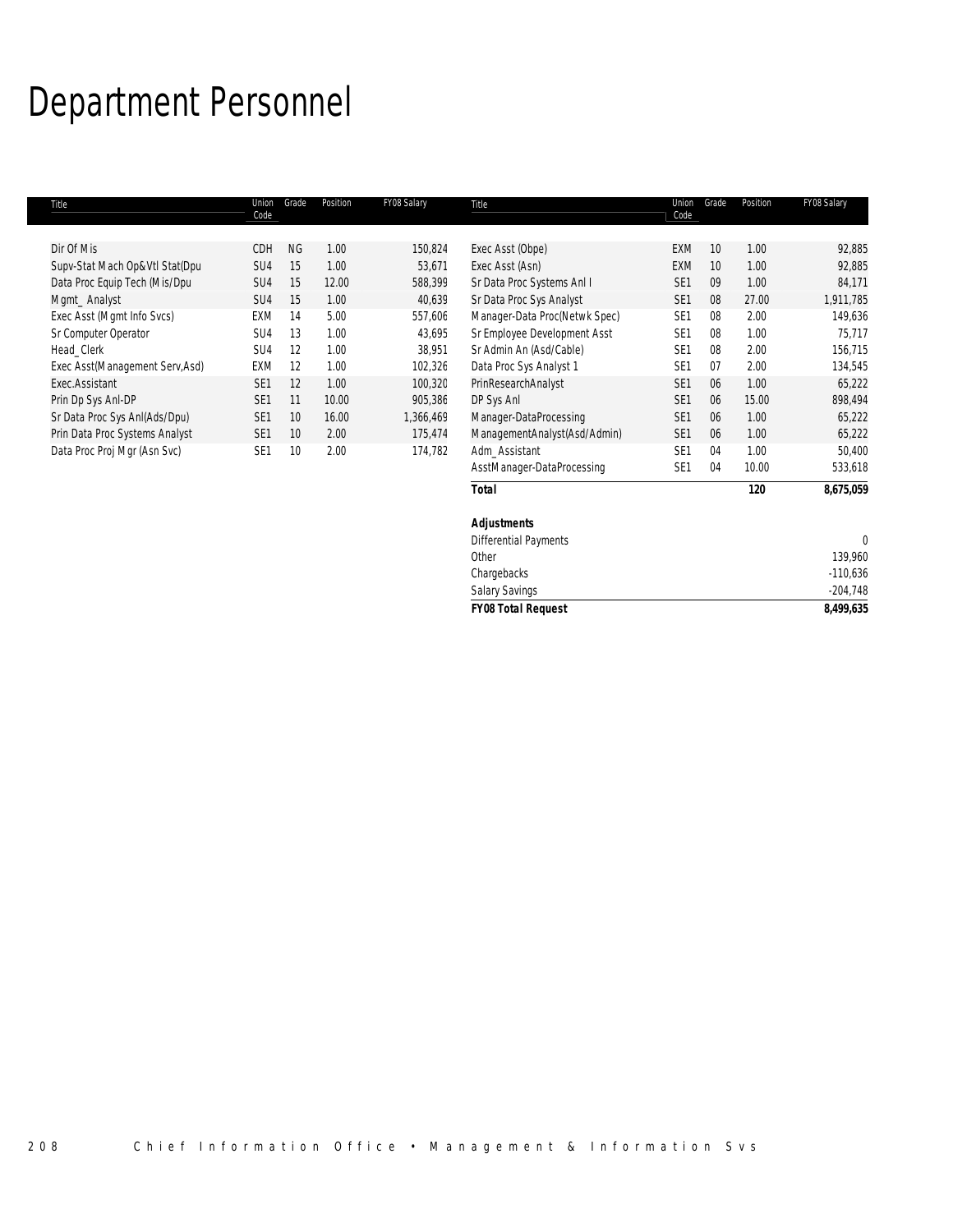# Department Personnel

| Title                           | Union<br>Code   | Grade           | Position | FY08 Salary | Title                         | Union<br>Code   | Grade | Position | FY08 Salary |
|---------------------------------|-----------------|-----------------|----------|-------------|-------------------------------|-----------------|-------|----------|-------------|
|                                 |                 |                 |          |             |                               |                 |       |          |             |
| Dir Of Mis                      | CDH             | <b>NG</b>       | 1.00     | 150,824     | Exec Asst (Obpe)              | EXM             | 10    | 1.00     | 92,885      |
| Supv-Stat Mach Op&Vtl Stat(Dpu  | SU4             | 15              | 1.00     | 53,671      | Exec Asst (Asn)               | <b>EXM</b>      | 10    | 1.00     | 92,885      |
| Data Proc Equip Tech (Mis/Dpu   | SU <sub>4</sub> | 15              | 12.00    | 588,399     | Sr Data Proc Systems Anl I    | SE <sub>1</sub> | 09    | 1.00     | 84,171      |
| Mgmt_Analyst                    | SU <sub>4</sub> | 15              | 1.00     | 40,639      | Sr Data Proc Sys Analyst      | SE <sub>1</sub> | 08    | 27.00    | 1,911,785   |
| Exec Asst (Mgmt Info Svcs)      | EXM             | 14              | 5.00     | 557,606     | Manager-Data Proc(Netwk Spec) | SE <sub>1</sub> | 08    | 2.00     | 149,636     |
| Sr Computer Operator            | SU <sub>4</sub> | 13              | 1.00     | 43.695      | Sr Employee Development Asst  | SE <sub>1</sub> | 08    | 1.00     | 75.717      |
| Head Clerk                      | SU <sub>4</sub> | 12              | 1.00     | 38.951      | Sr Admin An (Asd/Cable)       | SE <sub>1</sub> | 08    | 2.00     | 156.715     |
| Exec Asst(Management Serv, Asd) | EXM             | 12              | 1.00     | 102,326     | Data Proc Sys Analyst 1       | SE <sub>1</sub> | 07    | 2.00     | 134,545     |
| Exec.Assistant                  | SE <sub>1</sub> | 12              | 1.00     | 100,320     | PrinResearchAnalyst           | SE <sub>1</sub> | 06    | 1.00     | 65,222      |
| Prin Dp Sys Anl-DP              | SE <sub>1</sub> | 11              | 10.00    | 905,386     | DP Sys Anl                    | SE <sub>1</sub> | 06    | 15.00    | 898,494     |
| Sr Data Proc Sys AnI(Ads/Dpu)   | SE <sub>1</sub> | 10              | 16.00    | 1,366,469   | Manager-DataProcessing        | SE <sub>1</sub> | 06    | 1.00     | 65,222      |
| Prin Data Proc Systems Analyst  | SE <sub>1</sub> | 10              | 2.00     | 175,474     | ManagementAnalyst(Asd/Admin)  | SE <sub>1</sub> | 06    | 1.00     | 65,222      |
| Data Proc Proj Mgr (Asn Svc)    | SE <sub>1</sub> | 10 <sup>°</sup> | 2.00     | 174.782     | Adm Assistant                 | SE <sub>1</sub> | 04    | 1.00     | 50,400      |
|                                 |                 |                 |          |             | AsstManager-DataProcessing    | SE <sub>1</sub> | 04    | 10.00    | 533,618     |
|                                 |                 |                 |          |             | Total                         |                 |       | 120      | 8,675,059   |

| <b>Salary Savings</b>        | $-204,748$ |
|------------------------------|------------|
|                              |            |
| Chargebacks                  | $-110,636$ |
| Other                        | 139,960    |
| <b>Differential Payments</b> |            |
| <b>Adjustments</b>           |            |
|                              |            |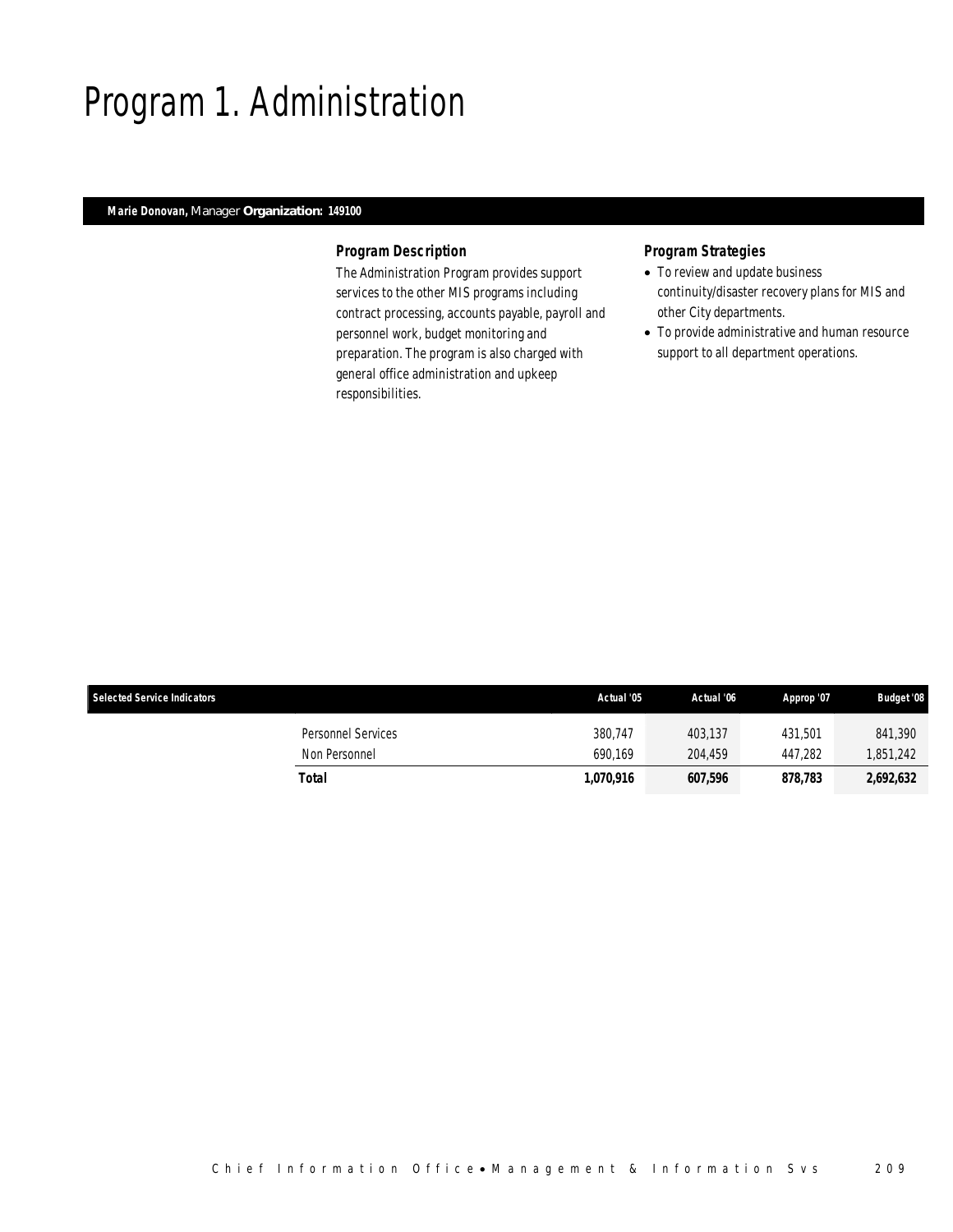# Program 1. Administration

### *Marie Donovan, Manager Organization: 149100*

#### *Program Description*

The Administration Program provides support services to the other MIS programs including contract processing, accounts payable, payroll and personnel work, budget monitoring and preparation. The program is also charged with general office administration and upkeep responsibilities.

- To review and update business continuity/disaster recovery plans for MIS and other City departments.
- To provide administrative and human resource support to all department operations.

| <b>Selected Service Indicators</b>  | Actual '05         | Actual '06         | Approp '07         | <b>Budget '08</b>   |
|-------------------------------------|--------------------|--------------------|--------------------|---------------------|
| Personnel Services<br>Non Personnel | 380.747<br>690.169 | 403.137<br>204.459 | 431.501<br>447.282 | 841,390<br>,851,242 |
| Total                               | 1,070,916          | 607,596            | 878,783            | 2,692,632           |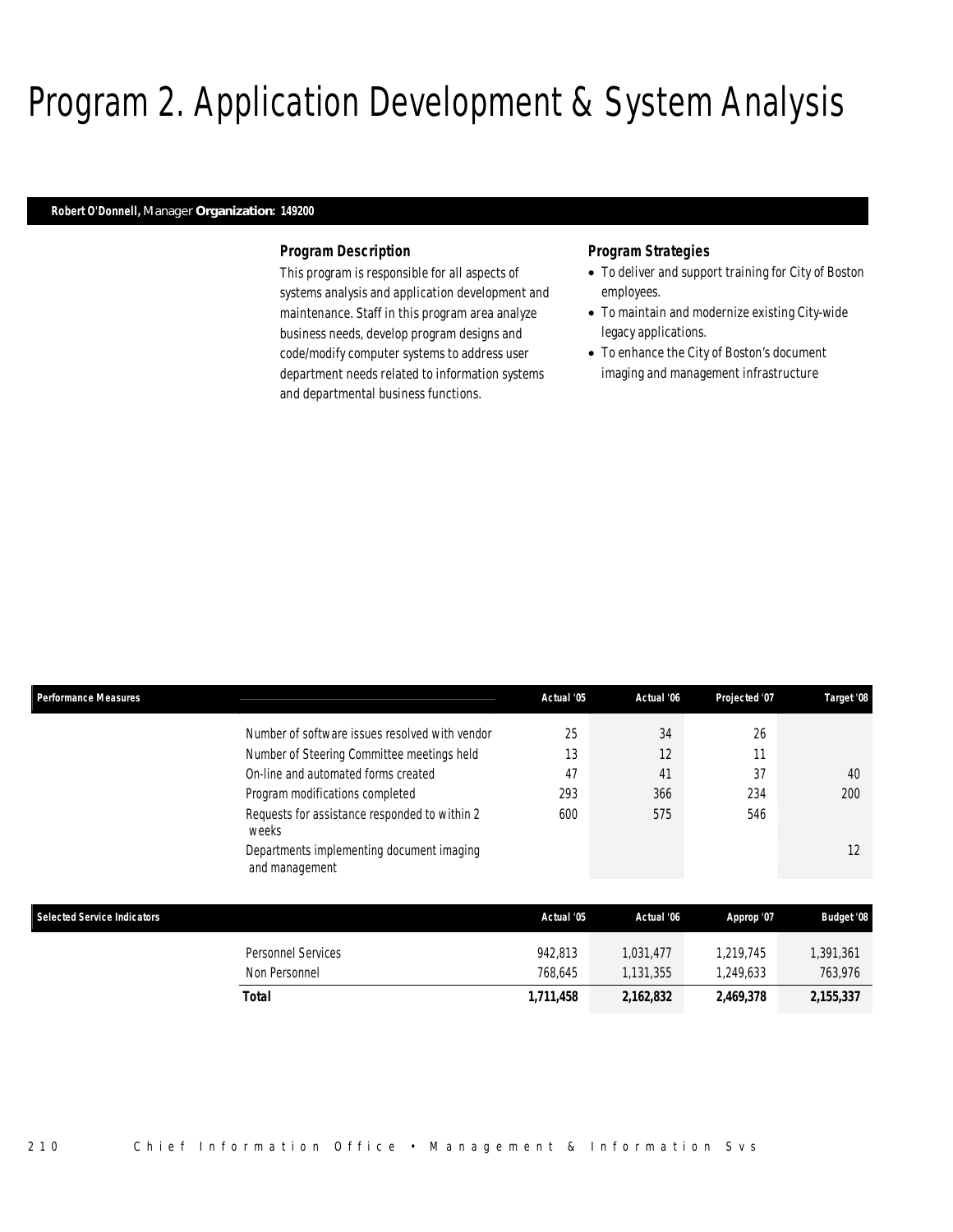# Program 2. Application Development & System Analysis

### *Robert O'Donnell, Manager Organization: 149200*

#### *Program Description*

This program is responsible for all aspects of systems analysis and application development and maintenance. Staff in this program area analyze business needs, develop program designs and code/modify computer systems to address user department needs related to information systems and departmental business functions.

- To deliver and support training for City of Boston employees.
- To maintain and modernize existing City-wide legacy applications.
- To enhance the City of Boston's document imaging and management infrastructure

| <b>Performance Measures</b>        |                                                             | Actual '05 | Actual '06 | Projected '07 | Target '08        |
|------------------------------------|-------------------------------------------------------------|------------|------------|---------------|-------------------|
|                                    | Number of software issues resolved with vendor              | 25         | 34         | 26            |                   |
|                                    | Number of Steering Committee meetings held                  | 13         | 12         | 11            |                   |
|                                    | On-line and automated forms created                         | 47         | 41         | 37            | 40                |
|                                    | Program modifications completed                             | 293        | 366        | 234           | 200               |
|                                    | Requests for assistance responded to within 2<br>weeks      | 600        | 575        | 546           |                   |
|                                    | Departments implementing document imaging<br>and management |            |            |               | 12                |
| <b>Selected Service Indicators</b> |                                                             | Actual '05 | Actual '06 | Approp '07    | <b>Budget '08</b> |
|                                    | <b>Personnel Services</b>                                   | 942,813    | 1,031,477  | 1,219,745     | 1,391,361         |
|                                    | Non Personnel                                               | 768,645    | 1,131,355  | 1,249,633     | 763,976           |
|                                    | <b>Total</b>                                                | 1,711,458  | 2,162,832  | 2,469,378     | 2,155,337         |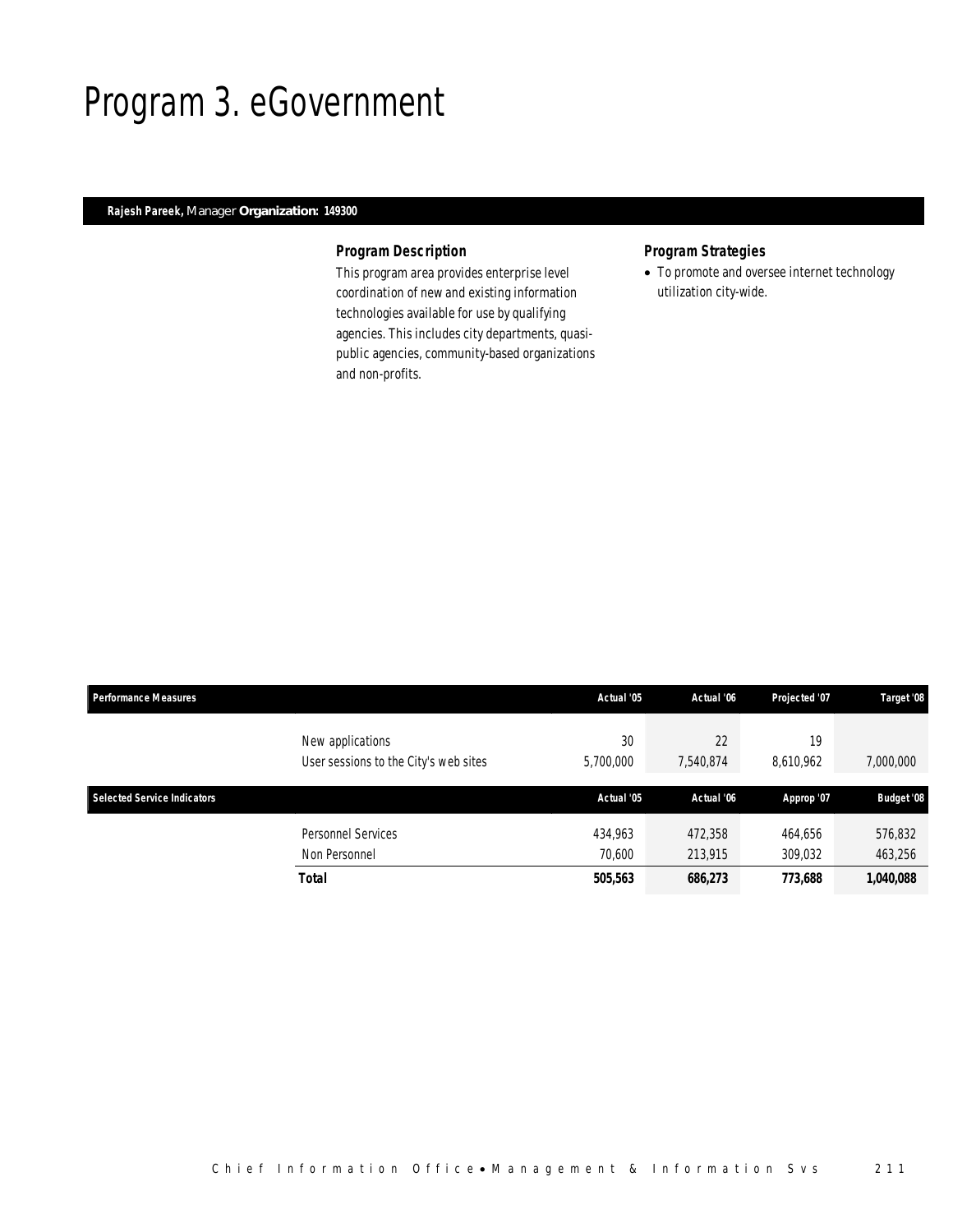## Program 3. eGovernment

### *Rajesh Pareek, Manager Organization: 149300*

### *Program Description*

This program area provides enterprise level coordination of new and existing information technologies available for use by qualifying agencies. This includes city departments, quasipublic agencies, community-based organizations and non-profits.

### *Program Strategies*

• To promote and oversee internet technology utilization city-wide.

| <b>Performance Measures</b>                               | Actual '05        | Actual '06         | Projected '07      | Target '08         |
|-----------------------------------------------------------|-------------------|--------------------|--------------------|--------------------|
| New applications<br>User sessions to the City's web sites | 30<br>5,700,000   | 22<br>7,540,874    | 19<br>8,610,962    | 7,000,000          |
| <b>Selected Service Indicators</b>                        | Actual '05        | Actual '06         | Approp '07         | <b>Budget</b> '08  |
| <b>Personnel Services</b><br>Non Personnel                | 434,963<br>70.600 | 472,358<br>213,915 | 464,656<br>309,032 | 576,832<br>463,256 |
| <b>Total</b>                                              | 505,563           | 686,273            | 773,688            | 1,040,088          |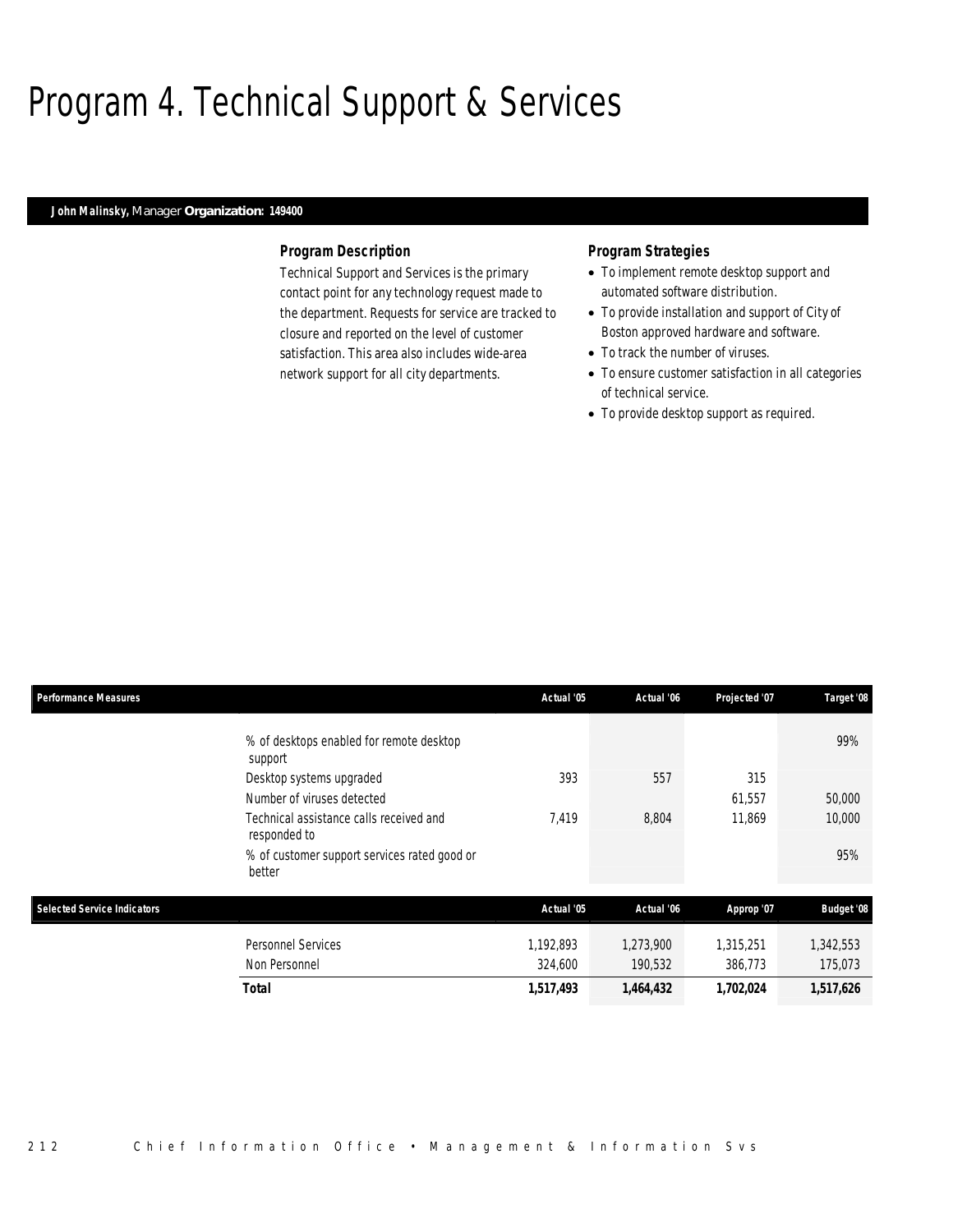## Program 4. Technical Support & Services

### *John Malinsky, Manager Organization: 149400*

#### *Program Description*

Technical Support and Services is the primary contact point for any technology request made to the department. Requests for service are tracked to closure and reported on the level of customer satisfaction. This area also includes wide-area network support for all city departments.

- To implement remote desktop support and automated software distribution.
- To provide installation and support of City of Boston approved hardware and software.
- To track the number of viruses.
- To ensure customer satisfaction in all categories of technical service.
- To provide desktop support as required.

| <b>Performance Measures</b>        |                                                         | Actual '05 | Actual '06 | Projected '07 | Target '08        |
|------------------------------------|---------------------------------------------------------|------------|------------|---------------|-------------------|
|                                    | % of desktops enabled for remote desktop<br>support     |            |            |               | 99%               |
|                                    | Desktop systems upgraded                                | 393        | 557        | 315           |                   |
|                                    | Number of viruses detected                              |            |            | 61,557        | 50,000            |
|                                    | Technical assistance calls received and<br>responded to | 7,419      | 8,804      | 11,869        | 10,000            |
|                                    | % of customer support services rated good or<br>better  |            |            |               | 95%               |
| <b>Selected Service Indicators</b> |                                                         | Actual '05 | Actual '06 | Approp '07    | <b>Budget '08</b> |
|                                    | <b>Personnel Services</b>                               | 1,192,893  | 1,273,900  | 1,315,251     | 1,342,553         |
|                                    | Non Personnel                                           | 324,600    | 190,532    | 386,773       | 175,073           |
|                                    | <b>Total</b>                                            | 1,517,493  | 1,464,432  | 1,702,024     | 1,517,626         |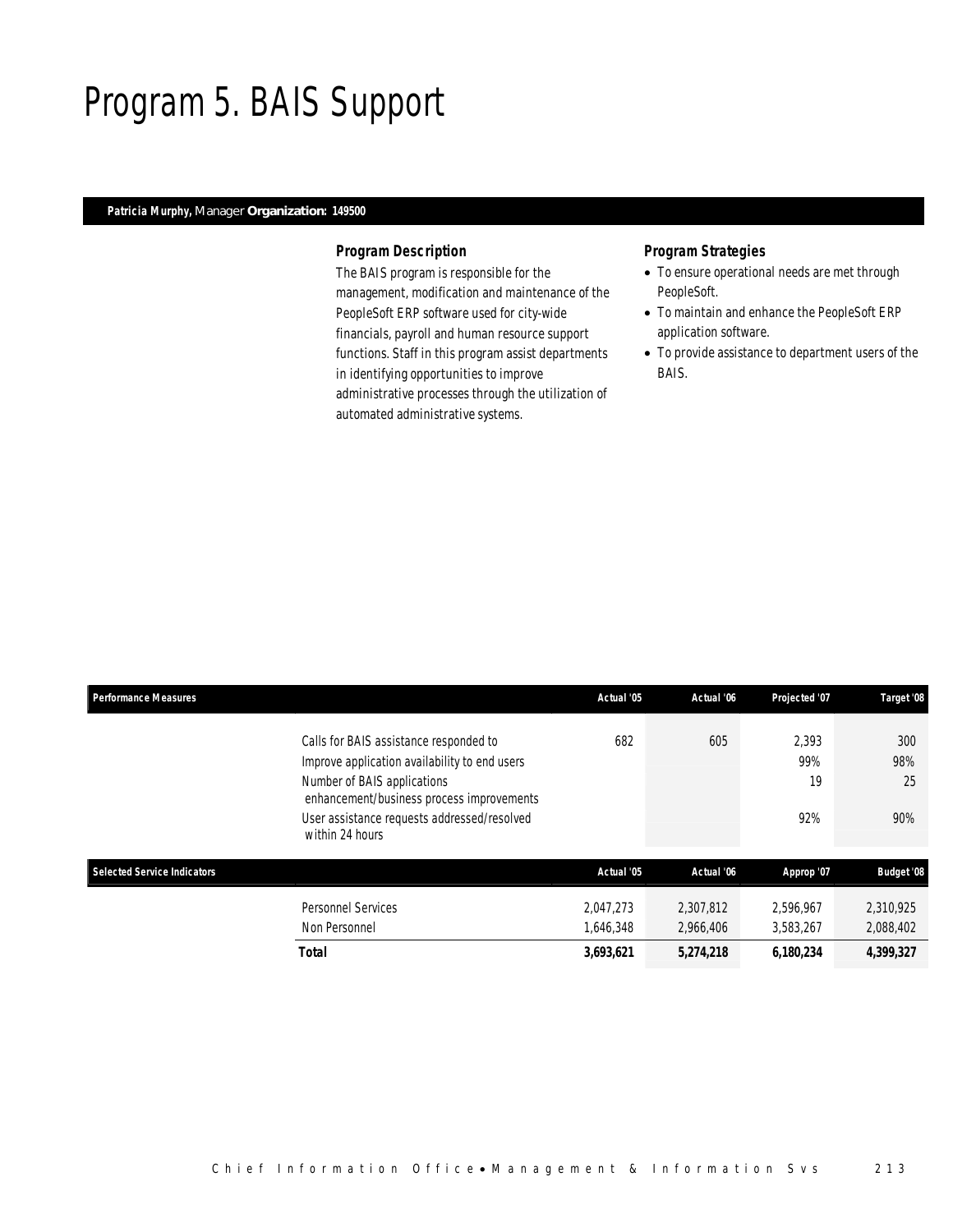## Program 5. BAIS Support

### *Patricia Murphy, Manager Organization: 149500*

#### *Program Description*

The BAIS program is responsible for the management, modification and maintenance of the PeopleSoft ERP software used for city-wide financials, payroll and human resource support functions. Staff in this program assist departments in identifying opportunities to improve administrative processes through the utilization of automated administrative systems.

- To ensure operational needs are met through PeopleSoft.
- To maintain and enhance the PeopleSoft ERP application software.
- To provide assistance to department users of the BAIS.

| <b>Performance Measures</b>        |                                                                                                                                                                                                                                       | Actual '05             | Actual '06             | Projected '07             | Target '08              |
|------------------------------------|---------------------------------------------------------------------------------------------------------------------------------------------------------------------------------------------------------------------------------------|------------------------|------------------------|---------------------------|-------------------------|
|                                    | Calls for BAIS assistance responded to<br>Improve application availability to end users<br>Number of BAIS applications<br>enhancement/business process improvements<br>User assistance requests addressed/resolved<br>within 24 hours | 682                    | 605                    | 2.393<br>99%<br>19<br>92% | 300<br>98%<br>25<br>90% |
| <b>Selected Service Indicators</b> |                                                                                                                                                                                                                                       | Actual '05             | Actual '06             | Approp '07                | <b>Budget '08</b>       |
|                                    | <b>Personnel Services</b><br>Non Personnel                                                                                                                                                                                            | 2.047.273<br>1.646.348 | 2.307.812<br>2.966.406 | 2.596.967<br>3.583.267    | 2,310,925<br>2,088,402  |
|                                    | Total                                                                                                                                                                                                                                 | 3,693,621              | 5,274,218              | 6,180,234                 | 4,399,327               |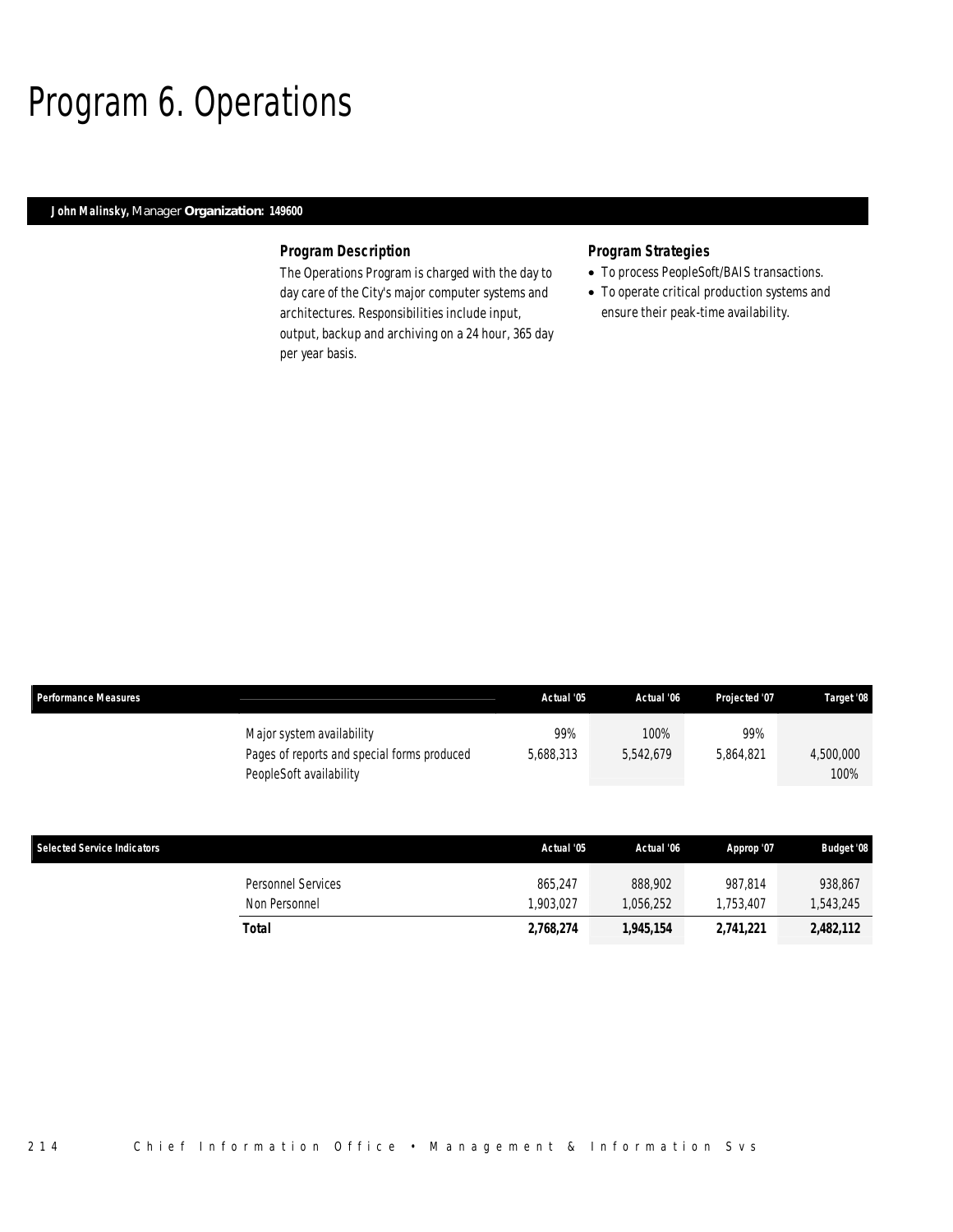## Program 6. Operations

### *John Malinsky, Manager Organization: 149600*

#### *Program Description*

The Operations Program is charged with the day to day care of the City's major computer systems and architectures. Responsibilities include input, output, backup and archiving on a 24 hour, 365 day per year basis.

#### *Program Strategies*

- To process PeopleSoft/BAIS transactions.
- To operate critical production systems and ensure their peak-time availability.

|                                    | Major system availability<br>Pages of reports and special forms produced<br>PeopleSoft availability | 99%<br>5,688,313 | 100%<br>5,542,679 | 99%<br>5,864,821 | 4,500,000<br>100% |
|------------------------------------|-----------------------------------------------------------------------------------------------------|------------------|-------------------|------------------|-------------------|
|                                    |                                                                                                     |                  |                   |                  |                   |
| <b>Selected Service Indicators</b> |                                                                                                     | Actual '05       | Actual '06        | Approp '07       | <b>Budget '08</b> |
|                                    | Personnel Services                                                                                  | 865,247          | 888,902           | 987,814          | 938,867           |
|                                    | Non Personnel                                                                                       | ,903,027         | 1,056,252         | 1,753,407        | 1,543,245         |

*Total 2,768,274 1,945,154 2,741,221 2,482,112* 

*Performance Measures Actual '05 Actual '06 Projected '07 Target '08*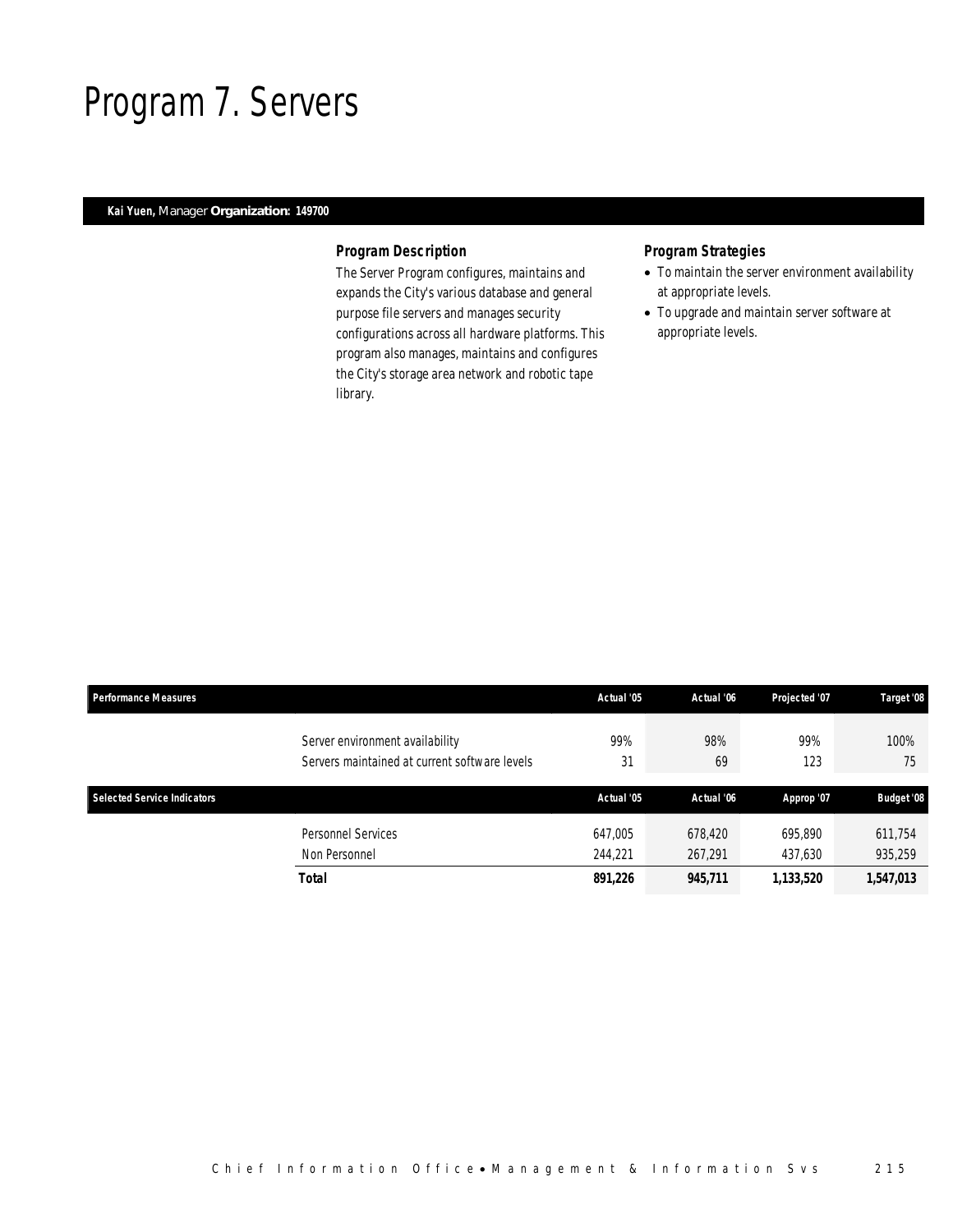## Program 7. Servers

### *Kai Yuen, Manager Organization: 149700*

### *Program Description*

The Server Program configures, maintains and expands the City's various database and general purpose file servers and manages security configurations across all hardware platforms. This program also manages, maintains and configures the City's storage area network and robotic tape library.

- To maintain the server environment availability at appropriate levels.
- To upgrade and maintain server software at appropriate levels.

| <b>Performance Measures</b> |                                                                                  | Actual '05 | Actual '06 | Projected '07 | Target '08        |
|-----------------------------|----------------------------------------------------------------------------------|------------|------------|---------------|-------------------|
|                             | Server environment availability<br>Servers maintained at current software levels | 99%<br>31  | 98%<br>69  | 99%<br>123    | 100%<br>75        |
| Selected Service Indicators |                                                                                  | Actual '05 | Actual '06 | Approp '07    | <b>Budget '08</b> |
|                             | <b>Personnel Services</b>                                                        | 647,005    | 678,420    | 695.890       | 611,754           |
|                             | Non Personnel                                                                    | 244.221    | 267,291    | 437,630       | 935,259           |
|                             | Total                                                                            | 891,226    | 945,711    | 1,133,520     | 1,547,013         |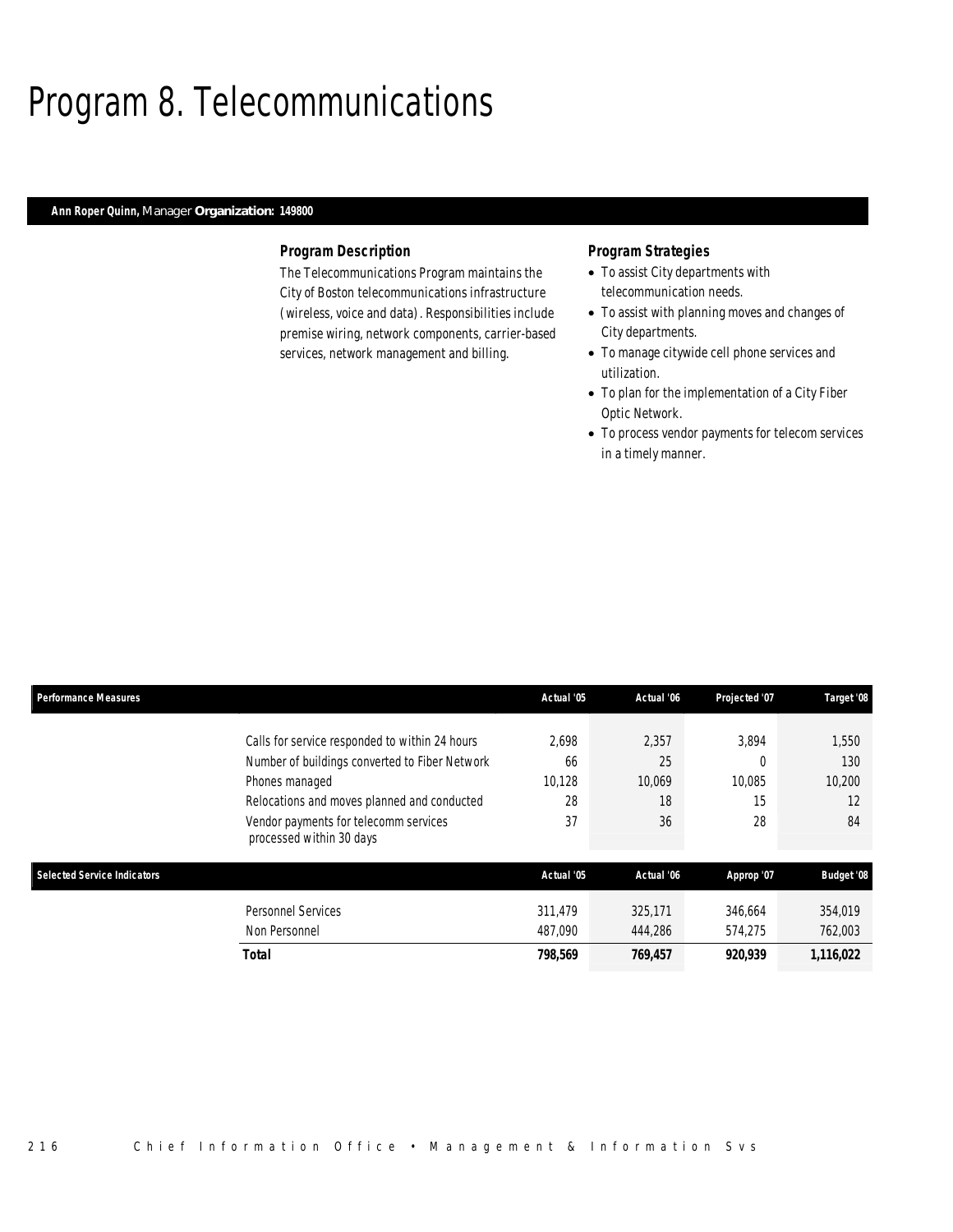## Program 8. Telecommunications

### *Ann Roper Quinn, Manager Organization: 149800*

#### *Program Description*

The Telecommunications Program maintains the City of Boston telecommunications infrastructure (wireless, voice and data). Responsibilities include premise wiring, network components, carrier-based services, network management and billing.

- To assist City departments with telecommunication needs.
- To assist with planning moves and changes of City departments.
- To manage citywide cell phone services and utilization.
- To plan for the implementation of a City Fiber Optic Network.
- To process vendor payments for telecom services in a timely manner.

| <b>Performance Measures</b>        |                                                                   | Actual '05 | Actual '06 | Projected '07 | Target '08        |
|------------------------------------|-------------------------------------------------------------------|------------|------------|---------------|-------------------|
|                                    | Calls for service responded to within 24 hours                    | 2.698      | 2,357      | 3.894         | 1,550             |
|                                    | Number of buildings converted to Fiber Network                    | 66         | 25         |               | 130               |
|                                    | Phones managed                                                    | 10.128     | 10,069     | 10.085        | 10.200            |
|                                    | Relocations and moves planned and conducted                       | 28         | 18         | 15            | 12                |
|                                    | Vendor payments for telecomm services<br>processed within 30 days | 37         | 36         | 28            | 84                |
| <b>Selected Service Indicators</b> |                                                                   | Actual '05 | Actual '06 | Approp '07    | <b>Budget '08</b> |
|                                    | <b>Personnel Services</b>                                         | 311,479    | 325,171    | 346,664       | 354,019           |
|                                    | Non Personnel                                                     | 487,090    | 444.286    | 574.275       | 762,003           |
|                                    | Total                                                             | 798,569    | 769,457    | 920,939       | 1,116,022         |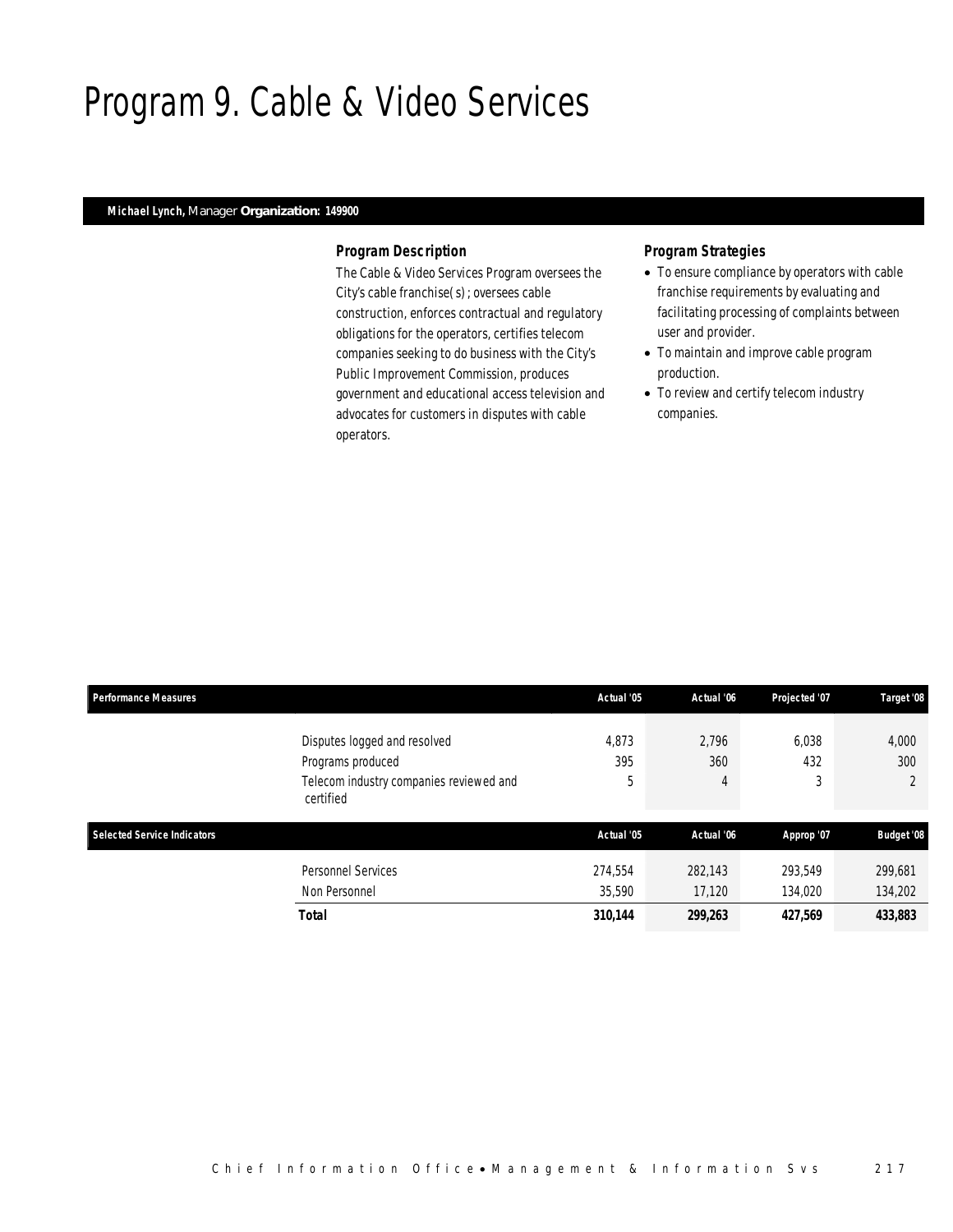## Program 9. Cable & Video Services

### *Michael Lynch, Manager Organization: 149900*

#### *Program Description*

The Cable & Video Services Program oversees the City's cable franchise(s); oversees cable construction, enforces contractual and regulatory obligations for the operators, certifies telecom companies seeking to do business with the City's Public Improvement Commission, produces government and educational access television and advocates for customers in disputes with cable operators.

- To ensure compliance by operators with cable franchise requirements by evaluating and facilitating processing of complaints between user and provider.
- To maintain and improve cable program production.
- To review and certify telecom industry companies.

| <b>Performance Measures</b>        |                                                                                                           | Actual '05        | Actual '06        | Projected '07      | Target '08         |
|------------------------------------|-----------------------------------------------------------------------------------------------------------|-------------------|-------------------|--------------------|--------------------|
|                                    | Disputes logged and resolved<br>Programs produced<br>Telecom industry companies reviewed and<br>certified | 4,873<br>395<br>5 | 2.796<br>360<br>4 | 6.038<br>432<br>3  | 4,000<br>300       |
| <b>Selected Service Indicators</b> |                                                                                                           | Actual '05        | Actual '06        | Approp '07         | <b>Budget '08</b>  |
|                                    | <b>Personnel Services</b><br>Non Personnel                                                                | 274.554<br>35,590 | 282,143<br>17.120 | 293.549<br>134,020 | 299.681<br>134,202 |
|                                    | Total                                                                                                     | 310,144           | 299,263           | 427,569            | 433,883            |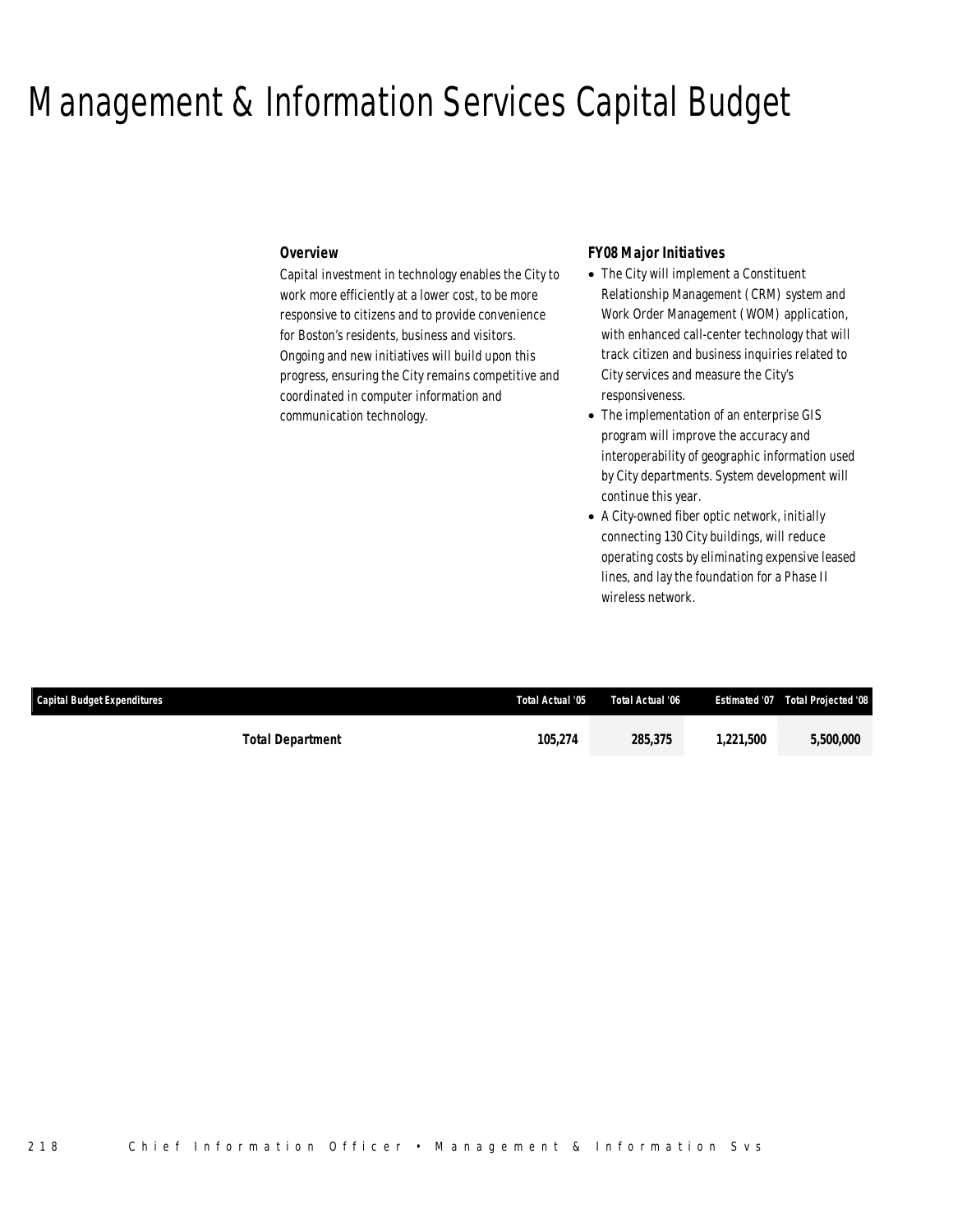### Management & Information Services Capital Budget

#### *Overview*

Capital investment in technology enables the City to work more efficiently at a lower cost, to be more responsive to citizens and to provide convenience for Boston's residents, business and visitors. Ongoing and new initiatives will build upon this progress, ensuring the City remains competitive and coordinated in computer information and communication technology.

#### *FY08 Major Initiatives*

- The City will implement a Constituent Relationship Management (CRM) system and Work Order Management (WOM) application, with enhanced call-center technology that will track citizen and business inquiries related to City services and measure the City's responsiveness.
- The implementation of an enterprise GIS program will improve the accuracy and interoperability of geographic information used by City departments. System development will continue this year.
- A City-owned fiber optic network, initially connecting 130 City buildings, will reduce operating costs by eliminating expensive leased lines, and lay the foundation for a Phase II wireless network.

| <b>Capital Budget Expenditures</b> |                         | Total Actual '05 | Total Actual '06 |          | <b>Estimated '07  Total Projected '08</b> |
|------------------------------------|-------------------------|------------------|------------------|----------|-------------------------------------------|
|                                    | <b>Total Department</b> | 105,274          | 285,375          | ,221,500 | <i>5,500,000</i>                          |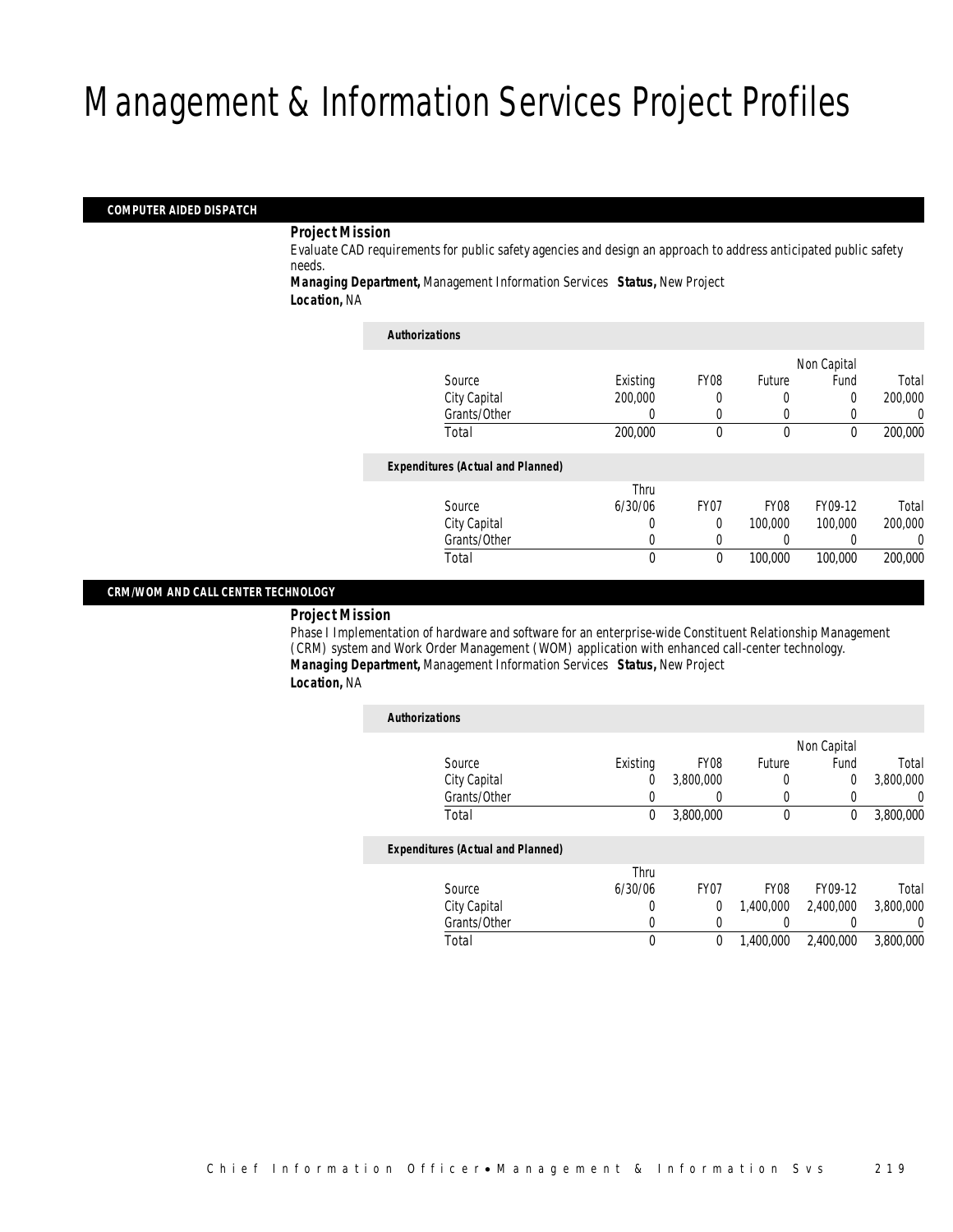#### *COMPUTER AIDED DISPATCH*

#### *Project Mission*

Evaluate CAD requirements for public safety agencies and design an approach to address anticipated public safety needs.

*Managing Department,* Management Information Services *Status,* New Project *Location,* NA

| <b>Authorizations</b>                    |          |                  |                  |             |         |
|------------------------------------------|----------|------------------|------------------|-------------|---------|
|                                          |          |                  |                  | Non Capital |         |
| Source                                   | Existing | <b>FY08</b>      | Future           | Fund        | Total   |
| City Capital                             | 200,000  | 0                | 0                | 0           | 200,000 |
| Grants/Other                             | 0        | 0                | 0                |             | 0       |
| Total                                    | 200,000  | 0                | $\theta$         | 0           | 200,000 |
| <b>Expenditures (Actual and Planned)</b> |          |                  |                  |             |         |
|                                          | Thru     |                  |                  |             |         |
| Source                                   | 6/30/06  | FY <sub>07</sub> | FY <sub>08</sub> | FY09-12     | Total   |
| City Capital                             | 0        | $\Omega$         | 100,000          | 100,000     | 200,000 |
| Grants/Other                             | $\left($ | 0                |                  |             | 0       |
| Total                                    | 0        | 0                | 100,000          | 100,000     | 200,000 |

#### *CRM/WOM AND CALL CENTER TECHNOLOGY*

#### *Project Mission*

Phase I Implementation of hardware and software for an enterprise-wide Constituent Relationship Management (CRM) system and Work Order Management (WOM) application with enhanced call-center technology. *Managing Department,* Management Information Services *Status,* New Project *Location,* NA

| <b>Authorizations</b>                    |          |                  |                  |             |           |
|------------------------------------------|----------|------------------|------------------|-------------|-----------|
|                                          |          |                  |                  | Non Capital |           |
| Source                                   | Existing | <b>FY08</b>      | Future           | Fund        | Total     |
| City Capital                             | 0        | 3,800,000        | 0                | 0           | 3,800,000 |
| Grants/Other                             | 0        |                  | 0                | 0           | 0         |
| Total                                    | 0        | 3,800,000        | $\mathbf 0$      | 0           | 3,800,000 |
| <b>Expenditures (Actual and Planned)</b> |          |                  |                  |             |           |
|                                          | Thru     |                  |                  |             |           |
| Source                                   | 6/30/06  | FY <sub>07</sub> | FY <sub>08</sub> | FY09-12     | Total     |
| City Capital                             | 0        | 0                | 1.400.000        | 2,400,000   | 3,800,000 |
| Grants/Other                             | 0        | $\left($         | 0                |             | 0         |
| Total                                    | 0        | 0                | 1.400.000        | 2.400.000   | 3,800,000 |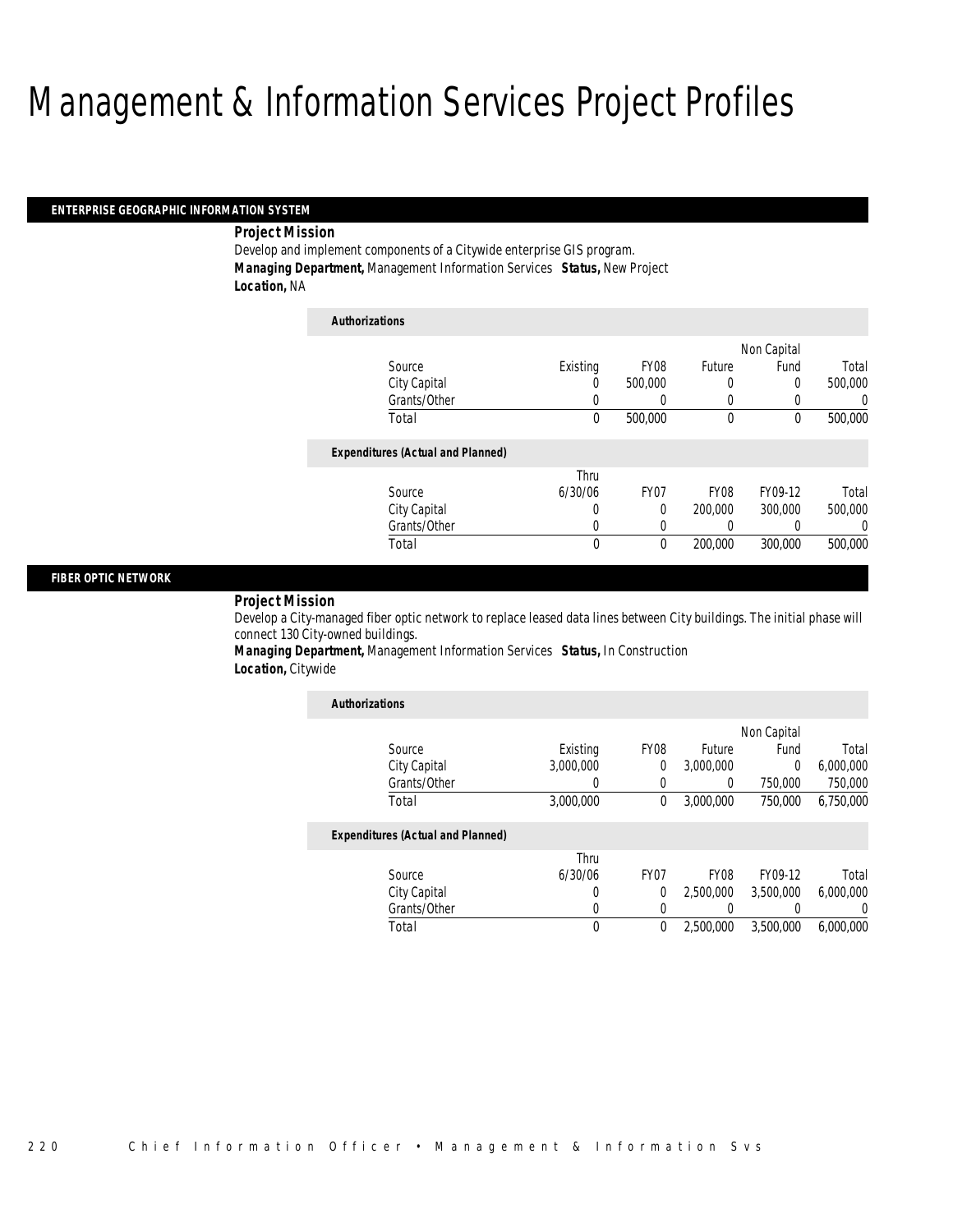#### *ENTERPRISE GEOGRAPHIC INFORMATION SYSTEM*

#### *Project Mission*

Develop and implement components of a Citywide enterprise GIS program. *Managing Department,* Management Information Services *Status,* New Project *Location,* NA

| <b>Authorizations</b>                    |          |             |             |             |          |
|------------------------------------------|----------|-------------|-------------|-------------|----------|
|                                          |          |             |             | Non Capital |          |
| Source                                   | Existing | <b>FY08</b> | Future      | Fund        | Total    |
| City Capital                             | 0        | 500,000     | 0           | 0           | 500,000  |
| Grants/Other                             | 0        | 0           | 0           | 0           | U        |
| Total                                    | 0        | 500,000     | $\mathbf 0$ | 0           | 500,000  |
| <b>Expenditures (Actual and Planned)</b> |          |             |             |             |          |
|                                          | Thru     |             |             |             |          |
| Source                                   | 6/30/06  | FY07        | <b>FY08</b> | FY09-12     | Total    |
| City Capital                             | 0        | 0           | 200,000     | 300,000     | 500,000  |
| Grants/Other                             | 0        | 0           | 0           |             | $\left($ |
| Total                                    | 0        | 0           | 200,000     | 300,000     | 500,000  |

#### *FIBER OPTIC NETWORK*

#### *Project Mission*

Develop a City-managed fiber optic network to replace leased data lines between City buildings. The initial phase will connect 130 City-owned buildings.

*Managing Department,* Management Information Services *Status,* In Construction *Location,* Citywide

| <b>Authorizations</b>                    |           |                  |                  |             |                |
|------------------------------------------|-----------|------------------|------------------|-------------|----------------|
|                                          |           |                  |                  | Non Capital |                |
| Source                                   | Existing  | <b>FY08</b>      | Future           | Fund        | Total          |
| City Capital                             | 3,000,000 | 0                | 3,000,000        | $\Omega$    | 6,000,000      |
| Grants/Other                             | 0         | 0                | 0                | 750,000     | 750,000        |
| Total                                    | 3,000,000 | 0                | 3,000,000        | 750,000     | 6,750,000      |
| <b>Expenditures (Actual and Planned)</b> |           |                  |                  |             |                |
|                                          | Thru      |                  |                  |             |                |
| Source                                   | 6/30/06   | FY <sub>07</sub> | FY <sub>08</sub> | FY09-12     | Total          |
| City Capital                             | 0         | $\Omega$         | 2,500,000        | 3.500.000   | 6.000.000      |
| Grants/Other                             | 0         | 0                |                  |             | $\overline{0}$ |
| Total                                    | 0         | 0                | 2.500.000        | 3.500.000   | 6.000.000      |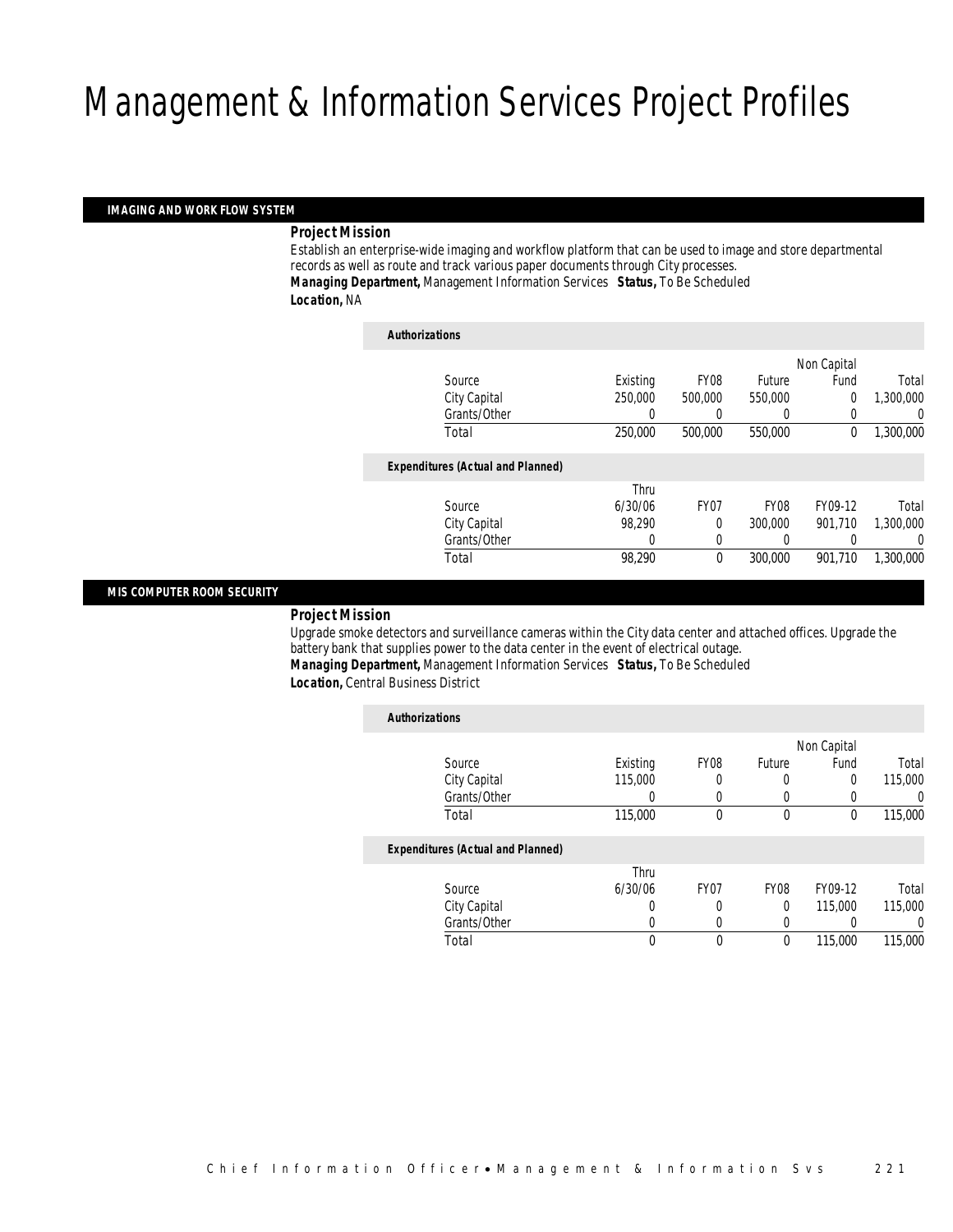#### *IMAGING AND WORK FLOW SYSTEM*

*Project Mission* 

Establish an enterprise-wide imaging and workflow platform that can be used to image and store departmental records as well as route and track various paper documents through City processes. *Managing Department,* Management Information Services *Status,* To Be Scheduled *Location,* NA

| <b>Authorizations</b>                    |          |                  |             |             |           |
|------------------------------------------|----------|------------------|-------------|-------------|-----------|
|                                          |          |                  |             | Non Capital |           |
| Source                                   | Existing | <b>FY08</b>      | Future      | Fund        | Total     |
| City Capital                             | 250,000  | 500,000          | 550,000     | 0           | 1,300,000 |
| Grants/Other                             | 0        | 0                | 0           | 0           | 0         |
| Total                                    | 250,000  | 500,000          | 550,000     | 0           | 1,300,000 |
| <b>Expenditures (Actual and Planned)</b> |          |                  |             |             |           |
|                                          | Thru     |                  |             |             |           |
| Source                                   | 6/30/06  | FY <sub>07</sub> | <b>FY08</b> | FY09-12     | Total     |
| City Capital                             | 98.290   | 0                | 300,000     | 901.710     | 1,300,000 |
| Grants/Other                             | 0        | 0                | 0           |             | 0         |
| Total                                    | 98,290   | 0                | 300,000     | 901.710     | 1,300,000 |

#### *MIS COMPUTER ROOM SECURITY*

#### *Project Mission*

Upgrade smoke detectors and surveillance cameras within the City data center and attached offices. Upgrade the battery bank that supplies power to the data center in the event of electrical outage. *Managing Department,* Management Information Services *Status,* To Be Scheduled

*Location,* Central Business District

| <b>Authorizations</b>                    |          |                  |             |             |          |
|------------------------------------------|----------|------------------|-------------|-------------|----------|
|                                          |          |                  |             | Non Capital |          |
| Source                                   | Existing | FY08             | Future      | Fund        | Total    |
| City Capital                             | 115,000  | 0                | O           | 0           | 115,000  |
| Grants/Other                             | 0        | $\Omega$         | 0           |             | $\Omega$ |
| Total                                    | 115,000  | 0                | $\theta$    | $\Omega$    | 115,000  |
| <b>Expenditures (Actual and Planned)</b> |          |                  |             |             |          |
|                                          | Thru     |                  |             |             |          |
| Source                                   | 6/30/06  | FY <sub>07</sub> | <b>FY08</b> | FY09-12     | Total    |
| City Capital                             | 0        | 0                | 0           | 115,000     | 115,000  |
| Grants/Other                             | 0        | $\left($         | 0           |             | 0        |
| Total                                    |          | 0                | 0           | 115,000     | 115,000  |